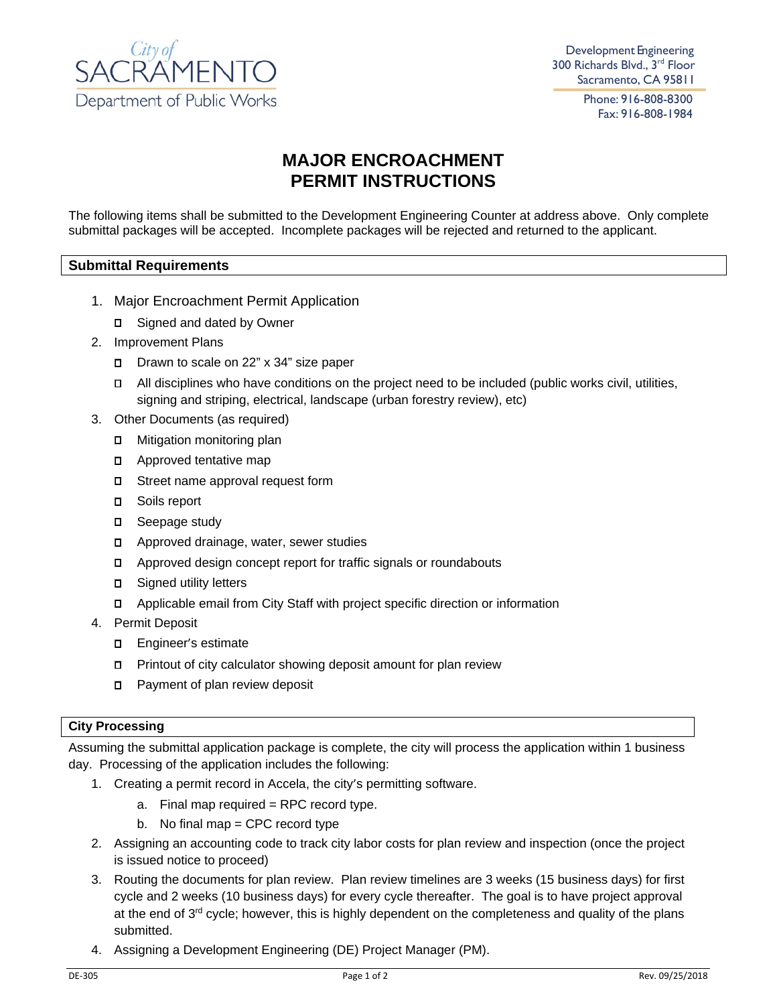

Development Engineering 300 Richards Blvd., 3rd Floor Sacramento, CA 95811

> Phone: 916-808-8300 Fax: 916-808-1984

## **MAJOR ENCROACHMENT PERMIT INSTRUCTIONS**

The following items shall be submitted to the Development Engineering Counter at address above. Only complete submittal packages will be accepted. Incomplete packages will be rejected and returned to the applicant.

## **Submittal Requirements**

- 1. Major Encroachment Permit Application
	- □ Signed and dated by Owner
- 2. Improvement Plans
	- Drawn to scale on 22" x 34" size paper
	- All disciplines who have conditions on the project need to be included (public works civil, utilities, signing and striping, electrical, landscape (urban forestry review), etc)
- 3. Other Documents (as required)
	- Mitigation monitoring plan
	- **D** Approved tentative map
	- □ Street name approval request form
	- D Soils report
	- D Seepage study
	- Approved drainage, water, sewer studies
	- Approved design concept report for traffic signals or roundabouts
	- □ Signed utility letters
	- Applicable email from City Staff with project specific direction or information
- 4. Permit Deposit
	- Engineer's estimate
	- Printout of city calculator showing deposit amount for plan review
	- □ Payment of plan review deposit

## **City Processing**

Assuming the submittal application package is complete, the city will process the application within 1 business day. Processing of the application includes the following:

- 1. Creating a permit record in Accela, the city's permitting software.
	- a. Final map required  $=$  RPC record type.
	- b. No final map = CPC record type
- 2. Assigning an accounting code to track city labor costs for plan review and inspection (once the project is issued notice to proceed)
- 3. Routing the documents for plan review. Plan review timelines are 3 weeks (15 business days) for first cycle and 2 weeks (10 business days) for every cycle thereafter. The goal is to have project approval at the end of 3<sup>rd</sup> cycle; however, this is highly dependent on the completeness and quality of the plans submitted.
- 4. Assigning a Development Engineering (DE) Project Manager (PM).